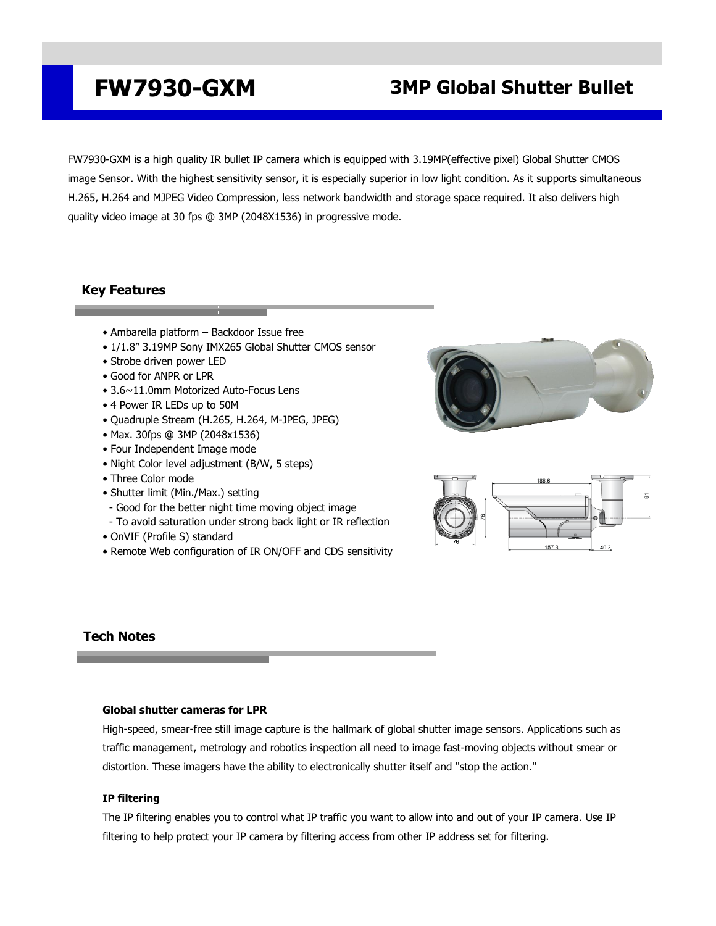## **FW7930-GXM 3MP Global Shutter Bullet**

FW7930-GXM is a high quality IR bullet IP camera which is equipped with 3.19MP(effective pixel) Global Shutter CMOS image Sensor. With the highest sensitivity sensor, it is especially superior in low light condition. As it supports simultaneous H.265, H.264 and MJPEG Video Compression, less network bandwidth and storage space required. It also delivers high quality video image at 30 fps @ 3MP (2048X1536) in progressive mode.

## **Key Features**

- Ambarella platform Backdoor Issue free
- 1/1.8" 3.19MP Sony IMX265 Global Shutter CMOS sensor
- Strobe driven power LED
- Good for ANPR or LPR
- 3.6~11.0mm Motorized Auto-Focus Lens
- 4 Power IR LEDs up to 50M
- Quadruple Stream (H.265, H.264, M-JPEG, JPEG)
- Max. 30fps @ 3MP (2048x1536)
- Four Independent Image mode
- Night Color level adjustment (B/W, 5 steps)
- Three Color mode
- Shutter limit (Min./Max.) setting
- Good for the better night time moving object image
- To avoid saturation under strong back light or IR reflection
- OnVIF (Profile S) standard
- Remote Web configuration of IR ON/OFF and CDS sensitivity





### **Tech Notes**

#### **Global shutter cameras for LPR**

High-speed, smear-free still image capture is the hallmark of global shutter image sensors. Applications such as traffic management, metrology and robotics inspection all need to image fast-moving objects without smear or distortion. These imagers have the ability to electronically shutter itself and "stop the action."

#### **IP filtering**

The IP filtering enables you to control what IP traffic you want to allow into and out of your IP camera. Use IP filtering to help protect your IP camera by filtering access from other IP address set for filtering.